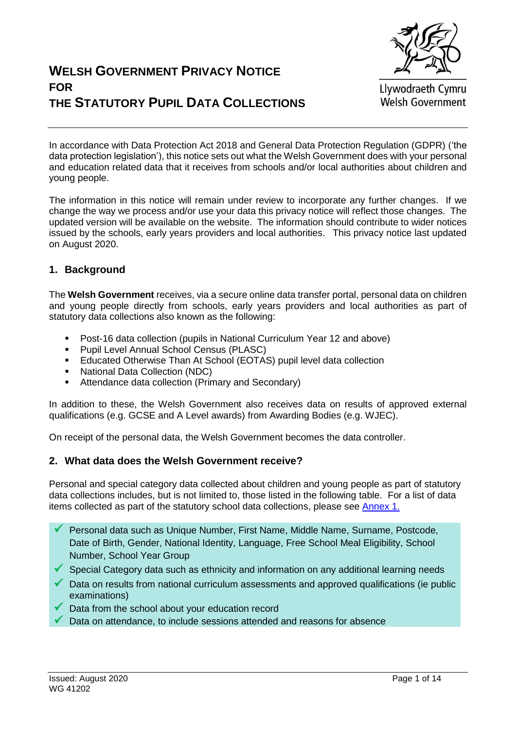

Llywodraeth Cymru **Welsh Government** 

In accordance with Data Protection Act 2018 and General Data Protection Regulation (GDPR) ('the data protection legislation'), this notice sets out what the Welsh Government does with your personal and education related data that it receives from schools and/or local authorities about children and young people.

The information in this notice will remain under review to incorporate any further changes. If we change the way we process and/or use your data this privacy notice will reflect those changes. The updated version will be available on the website. The information should contribute to wider notices issued by the schools, early years providers and local authorities. This privacy notice last updated on August 2020.

#### **1. Background**

The **Welsh Government** receives, via a secure online data transfer portal, personal data on children and young people directly from schools, early years providers and local authorities as part of statutory data collections also known as the following:

- Post-16 data collection (pupils in National Curriculum Year 12 and above)
- **Pupil Level Annual School Census (PLASC)**
- Educated Otherwise Than At School (EOTAS) pupil level data collection
- National Data Collection (NDC)
- **Attendance data collection (Primary and Secondary)**

In addition to these, the Welsh Government also receives data on results of approved external qualifications (e.g. GCSE and A Level awards) from Awarding Bodies (e.g. WJEC).

On receipt of the personal data, the Welsh Government becomes the data controller.

#### **2. What data does the Welsh Government receive?**

Personal and special category data collected about children and young people as part of statutory data collections includes, but is not limited to, those listed in the following table. For a list of data items collected as part of the statutory school data collections, please see [Annex 1.](#page-5-0)

- Personal data such as Unique Number, First Name, Middle Name, Surname, Postcode, Date of Birth, Gender, National Identity, Language, Free School Meal Eligibility, School Number, School Year Group
- $\checkmark$  Special Category data such as ethnicity and information on any additional learning needs
- $\checkmark$  Data on results from national curriculum assessments and approved qualifications (ie public examinations)
- Data from the school about your education record
- Data on attendance, to include sessions attended and reasons for absence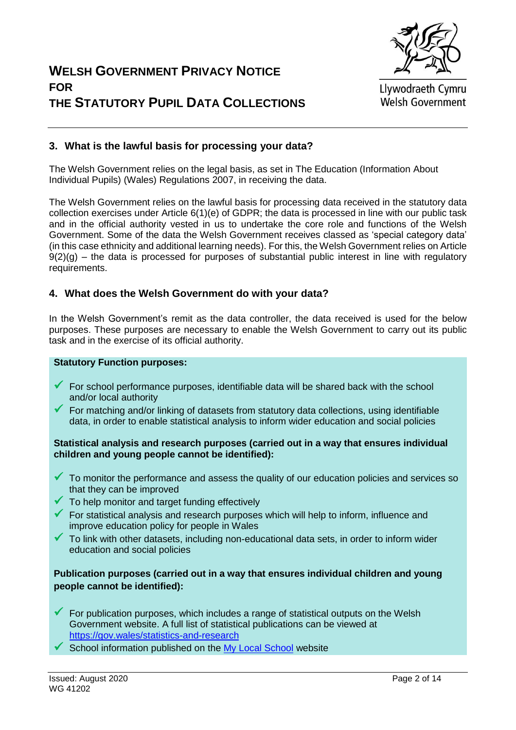

Llywodraeth Cymru **Welsh Government** 

#### **3. What is the lawful basis for processing your data?**

The Welsh Government relies on the legal basis, as set in The Education (Information About Individual Pupils) (Wales) Regulations 2007, in receiving the data.

The Welsh Government relies on the lawful basis for processing data received in the statutory data collection exercises under Article 6(1)(e) of GDPR; the data is processed in line with our public task and in the official authority vested in us to undertake the core role and functions of the Welsh Government. Some of the data the Welsh Government receives classed as 'special category data' (in this case ethnicity and additional learning needs). For this, the Welsh Government relies on Article  $9(2)(q)$  – the data is processed for purposes of substantial public interest in line with regulatory requirements.

#### **4. What does the Welsh Government do with your data?**

In the Welsh Government's remit as the data controller, the data received is used for the below purposes. These purposes are necessary to enable the Welsh Government to carry out its public task and in the exercise of its official authority.

#### **Statutory Function purposes:**

- $\checkmark$  For school performance purposes, identifiable data will be shared back with the school and/or local authority
- For matching and/or linking of datasets from statutory data collections, using identifiable data, in order to enable statistical analysis to inform wider education and social policies

#### **Statistical analysis and research purposes (carried out in a way that ensures individual children and young people cannot be identified):**

- $\checkmark$  To monitor the performance and assess the quality of our education policies and services so that they can be improved
- $\checkmark$  To help monitor and target funding effectively
- $\checkmark$  For statistical analysis and research purposes which will help to inform, influence and improve education policy for people in Wales
- $\checkmark$  To link with other datasets, including non-educational data sets, in order to inform wider education and social policies

#### **Publication purposes (carried out in a way that ensures individual children and young people cannot be identified):**

- $\checkmark$  For publication purposes, which includes a range of statistical outputs on the Welsh Government website. A full list of statistical publications can be viewed at <https://gov.wales/statistics-and-research>
- $\checkmark$  School information published on the [My Local School](https://mylocalschool.gov.wales/) website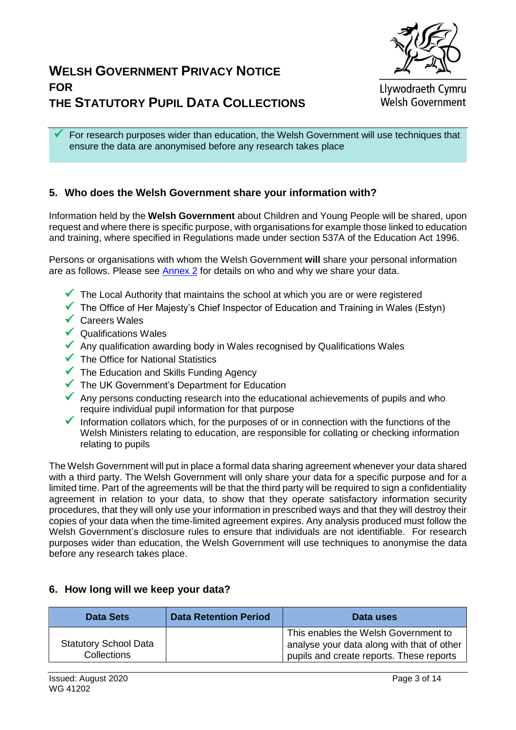

Llywodraeth Cymru **Welsh Government** 

 For research purposes wider than education, the Welsh Government will use techniques that ensure the data are anonymised before any research takes place

#### **5. Who does the Welsh Government share your information with?**

Information held by the **Welsh Government** about Children and Young People will be shared, upon request and where there is specific purpose, with organisations for example those linked to education and training, where specified in Regulations made under section 537A of the Education Act 1996.

Persons or organisations with whom the Welsh Government **will** share your personal information are as follows. Please see [Annex 2](#page-12-0) for details on who and why we share your data.

- $\checkmark$  The Local Authority that maintains the school at which you are or were registered
- $\checkmark$  The Office of Her Maiesty's Chief Inspector of Education and Training in Wales (Estyn)
- $\checkmark$  Careers Wales
- $\sqrt{\phantom{a}}$  Qualifications Wales
- $\checkmark$  Any qualification awarding body in Wales recognised by Qualifications Wales
- $\checkmark$  The Office for National Statistics
- $\checkmark$  The Education and Skills Funding Agency
- $\checkmark$  The UK Government's Department for Education
- Any persons conducting research into the educational achievements of pupils and who require individual pupil information for that purpose
- Information collators which, for the purposes of or in connection with the functions of the Welsh Ministers relating to education, are responsible for collating or checking information relating to pupils

The Welsh Government will put in place a formal data sharing agreement whenever your data shared with a third party. The Welsh Government will only share your data for a specific purpose and for a limited time. Part of the agreements will be that the third party will be required to sign a confidentiality agreement in relation to your data, to show that they operate satisfactory information security procedures, that they will only use your information in prescribed ways and that they will destroy their copies of your data when the time-limited agreement expires. Any analysis produced must follow the Welsh Government's disclosure rules to ensure that individuals are not identifiable. For research purposes wider than education, the Welsh Government will use techniques to anonymise the data before any research takes place.

#### **6. How long will we keep your data?**

| <b>Data Sets</b>                            | <b>Data Retention Period</b> | Data uses                                                                                                                      |
|---------------------------------------------|------------------------------|--------------------------------------------------------------------------------------------------------------------------------|
| <b>Statutory School Data</b><br>Collections |                              | This enables the Welsh Government to<br>analyse your data along with that of other<br>pupils and create reports. These reports |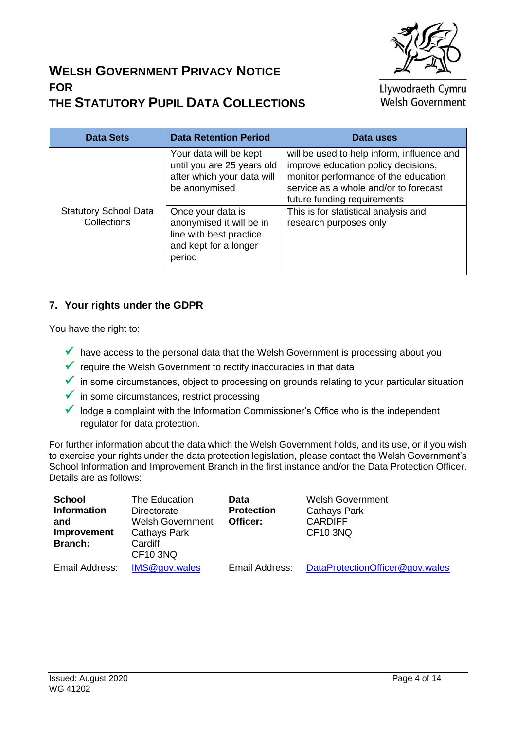

Llywodraeth Cymru Welsh Government

| <b>Data Sets</b>                                   | <b>Data Retention Period</b>                                                                                | Data uses                                                                                                                                                                                         |
|----------------------------------------------------|-------------------------------------------------------------------------------------------------------------|---------------------------------------------------------------------------------------------------------------------------------------------------------------------------------------------------|
|                                                    | Your data will be kept<br>until you are 25 years old<br>after which your data will<br>be anonymised         | will be used to help inform, influence and<br>improve education policy decisions,<br>monitor performance of the education<br>service as a whole and/or to forecast<br>future funding requirements |
| <b>Statutory School Data</b><br><b>Collections</b> | Once your data is<br>anonymised it will be in<br>line with best practice<br>and kept for a longer<br>period | This is for statistical analysis and<br>research purposes only                                                                                                                                    |

#### **7. Your rights under the GDPR**

You have the right to:

- $\checkmark$  have access to the personal data that the Welsh Government is processing about you
- $\checkmark$  require the Welsh Government to rectify inaccuracies in that data
- $\checkmark$  in some circumstances, object to processing on grounds relating to your particular situation
- $\checkmark$  in some circumstances, restrict processing
- $\checkmark$  lodge a complaint with the Information Commissioner's Office who is the independent regulator for data protection.

For further information about the data which the Welsh Government holds, and its use, or if you wish to exercise your rights under the data protection legislation, please contact the Welsh Government's School Information and Improvement Branch in the first instance and/or the Data Protection Officer. Details are as follows:

| <b>School</b>      | The Education           | Data              | <b>Welsh Government</b>         |
|--------------------|-------------------------|-------------------|---------------------------------|
| <b>Information</b> | Directorate             | <b>Protection</b> | <b>Cathays Park</b>             |
| and                | <b>Welsh Government</b> | Officer:          | <b>CARDIFF</b>                  |
| Improvement        | <b>Cathays Park</b>     |                   | CF <sub>10</sub> 3NQ            |
| <b>Branch:</b>     | Cardiff                 |                   |                                 |
|                    | <b>CF10 3NQ</b>         |                   |                                 |
| Email Address:     | IMS@gov.wales           | Email Address:    | DataProtectionOfficer@gov.wales |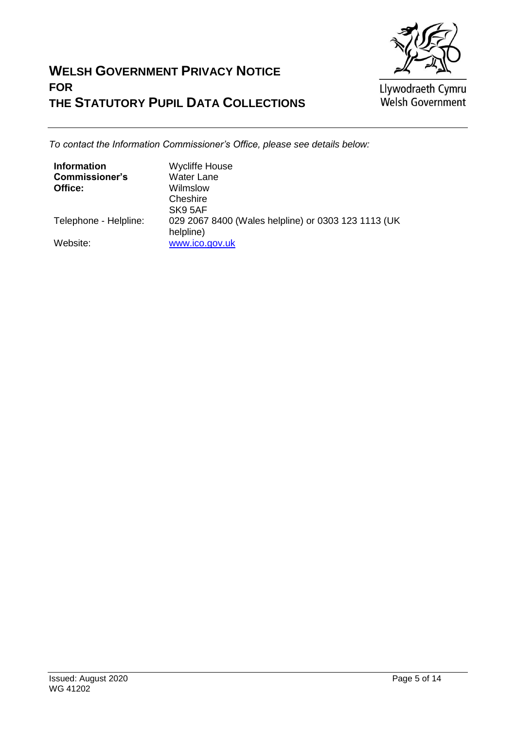

Llywodraeth Cymru<br>Welsh Government

*To contact the Information Commissioner's Office, please see details below:*

| <b>Information</b>    | <b>Wycliffe House</b>                               |
|-----------------------|-----------------------------------------------------|
| <b>Commissioner's</b> | <b>Water Lane</b>                                   |
| Office:               | Wilmslow                                            |
|                       | Cheshire                                            |
|                       | SK9 5AF                                             |
| Telephone - Helpline: | 029 2067 8400 (Wales helpline) or 0303 123 1113 (UK |
|                       | helpline)                                           |
| Website:              | www.ico.gov.uk                                      |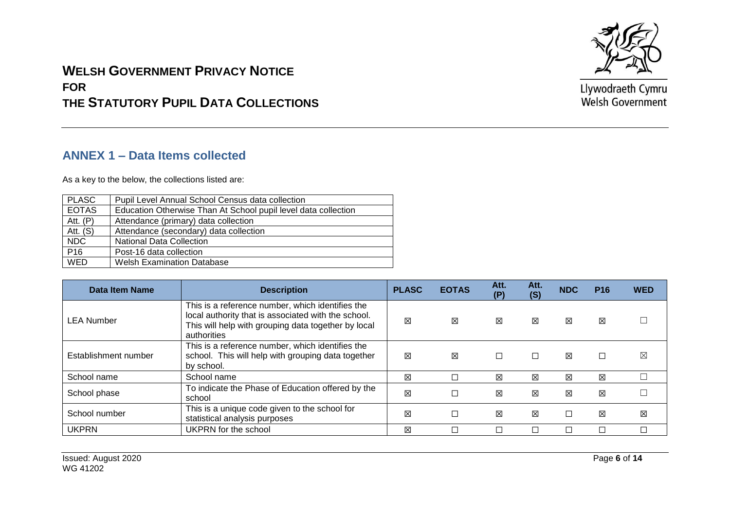

Llywodraeth Cymru Welsh Government

# **WELSH GOVERNMENT PRIVACY NOTICE FOR THE STATUTORY PUPIL DATA COLLECTIONS**

#### **ANNEX 1 – Data Items collected**

As a key to the below, the collections listed are:

| <b>PLASC</b> | Pupil Level Annual School Census data collection               |
|--------------|----------------------------------------------------------------|
| <b>EOTAS</b> | Education Otherwise Than At School pupil level data collection |
| Att. $(P)$   | Attendance (primary) data collection                           |
| Att. $(S)$   | Attendance (secondary) data collection                         |
| <b>NDC</b>   | <b>National Data Collection</b>                                |
| P16          | Post-16 data collection                                        |
| <b>WED</b>   | <b>Welsh Examination Database</b>                              |
|              |                                                                |

<span id="page-5-0"></span>

| Data Item Name       | <b>Description</b>                                                                                                                                                            | <b>PLASC</b> | <b>EOTAS</b> | Att.<br>(P) | Att.<br>(S) | <b>NDC</b> | <b>P16</b> | <b>WED</b> |
|----------------------|-------------------------------------------------------------------------------------------------------------------------------------------------------------------------------|--------------|--------------|-------------|-------------|------------|------------|------------|
| <b>LEA Number</b>    | This is a reference number, which identifies the<br>local authority that is associated with the school.<br>This will help with grouping data together by local<br>authorities | 区            | X            | X           | 区           | ⊠          | ⊠          |            |
| Establishment number | This is a reference number, which identifies the<br>school. This will help with grouping data together<br>by school.                                                          | 冈            | 区            | $\Box$      |             | 冈          |            | ⊠          |
| School name          | School name                                                                                                                                                                   | 区            |              | X           | X           | X          | ⊠          |            |
| School phase         | To indicate the Phase of Education offered by the<br>school                                                                                                                   | 図            | Г            | ⊠           | 区           | 区          | 区          |            |
| School number        | This is a unique code given to the school for<br>statistical analysis purposes                                                                                                | 区            | □            | ⊠           | X           |            | ⊠          | X          |
| <b>UKPRN</b>         | UKPRN for the school                                                                                                                                                          | 冈            |              |             |             |            |            |            |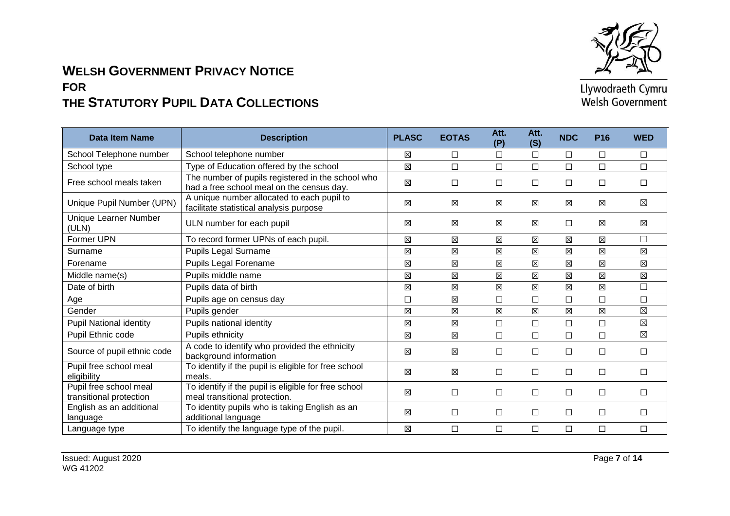

| Data Item Name                                    | <b>Description</b>                                                                             | <b>PLASC</b> | <b>EOTAS</b> | Att.<br>(P) | Att.<br>(S) | <b>NDC</b>  | <b>P16</b> | <b>WED</b>  |
|---------------------------------------------------|------------------------------------------------------------------------------------------------|--------------|--------------|-------------|-------------|-------------|------------|-------------|
| School Telephone number                           | School telephone number                                                                        | X            | $\Box$       | $\Box$      | $\Box$      | $\Box$      | $\Box$     | $\Box$      |
| School type                                       | Type of Education offered by the school                                                        | $\boxtimes$  | $\Box$       | $\Box$      | $\Box$      | $\Box$      | П          | $\Box$      |
| Free school meals taken                           | The number of pupils registered in the school who<br>had a free school meal on the census day. | 区            | □            | □           | $\Box$      | $\Box$      | $\Box$     | $\Box$      |
| Unique Pupil Number (UPN)                         | A unique number allocated to each pupil to<br>facilitate statistical analysis purpose          | X            | $\boxtimes$  | ⊠           | 区           | $\boxtimes$ | 図          | $\boxtimes$ |
| Unique Learner Number<br>(ULN)                    | ULN number for each pupil                                                                      | X            | X            | ⊠           | X           | □           | ⊠          | $\boxtimes$ |
| Former UPN                                        | To record former UPNs of each pupil.                                                           | X            | $\boxtimes$  | ⊠           | X           | 区           | 区          | $\Box$      |
| Surname                                           | Pupils Legal Surname                                                                           | 区            | $\boxtimes$  | 図           | $\boxtimes$ | $\boxtimes$ | 図          | $\boxtimes$ |
| Forename                                          | Pupils Legal Forename                                                                          | X            | 区            | ⊠           | $\boxtimes$ | 区           | ⊠          | $\boxtimes$ |
| Middle name(s)                                    | Pupils middle name                                                                             | X            | X            | 区           | 区           | 区           | 区          | 区           |
| Date of birth                                     | Pupils data of birth                                                                           | 区            | $\boxtimes$  | 区           | $\boxtimes$ | 区           | 冈          | $\Box$      |
| Age                                               | Pupils age on census day                                                                       | $\Box$       | $\boxtimes$  | $\Box$      | $\Box$      | $\Box$      | □          | $\Box$      |
| Gender                                            | Pupils gender                                                                                  | 区            | $\boxtimes$  | 区           | $\boxtimes$ | 区           | 冈          | $\boxtimes$ |
| <b>Pupil National identity</b>                    | Pupils national identity                                                                       | $\boxtimes$  | $\boxtimes$  | $\Box$      | $\Box$      | $\Box$      | П          | $\boxtimes$ |
| Pupil Ethnic code                                 | Pupils ethnicity                                                                               | 区            | 図            | $\Box$      | $\Box$      | $\Box$      | П          | $\boxtimes$ |
| Source of pupil ethnic code                       | A code to identify who provided the ethnicity<br>background information                        | 区            | X            | $\Box$      | $\Box$      | $\Box$      | $\Box$     | $\Box$      |
| Pupil free school meal<br>eligibility             | To identify if the pupil is eligible for free school<br>meals.                                 | 区            | X            | $\Box$      | $\Box$      | $\Box$      | $\Box$     | $\Box$      |
| Pupil free school meal<br>transitional protection | To identify if the pupil is eligible for free school<br>meal transitional protection.          | 区            | $\Box$       | $\Box$      | $\Box$      | □           | □          | □           |
| English as an additional<br>language              | To identity pupils who is taking English as an<br>additional language                          | 区            | $\Box$       | □           | $\Box$      | $\Box$      | $\Box$     | $\Box$      |
| Language type                                     | To identify the language type of the pupil.                                                    | X            | $\Box$       | □           | $\Box$      | $\Box$      | □          | $\Box$      |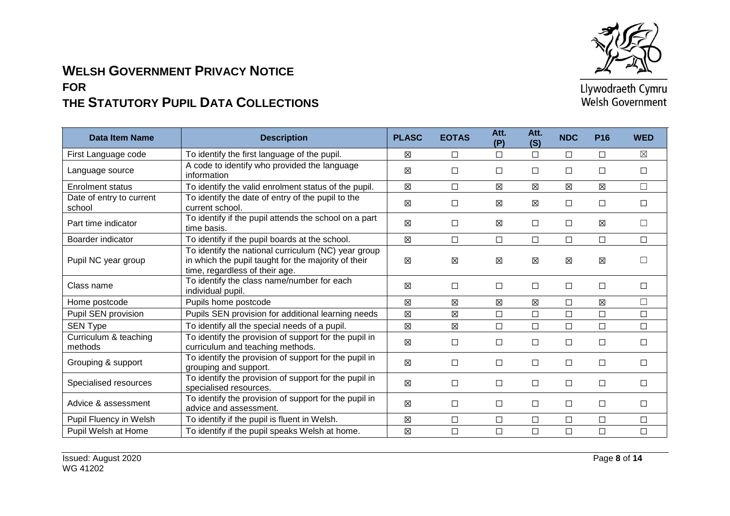

| <b>Data Item Name</b>              | <b>Description</b>                                                                                                                           | <b>PLASC</b> | <b>EOTAS</b> | Att.<br>(P) | Att.<br>(S) | <b>NDC</b>  | <b>P16</b> | <b>WED</b>  |
|------------------------------------|----------------------------------------------------------------------------------------------------------------------------------------------|--------------|--------------|-------------|-------------|-------------|------------|-------------|
| First Language code                | To identify the first language of the pupil.                                                                                                 | X            | $\Box$       | $\Box$      | $\Box$      | $\Box$      | П          | $\boxtimes$ |
| Language source                    | A code to identify who provided the language<br>information                                                                                  | 区            | $\Box$       | $\Box$      | $\Box$      | $\Box$      | $\Box$     | $\Box$      |
| <b>Enrolment status</b>            | To identify the valid enrolment status of the pupil.                                                                                         | 区            | $\Box$       | X           | $\boxtimes$ | 区           | 区          | $\Box$      |
| Date of entry to current<br>school | To identify the date of entry of the pupil to the<br>current school.                                                                         | 区            | $\Box$       | $\boxtimes$ | $\boxtimes$ | $\Box$      | □          | $\Box$      |
| Part time indicator                | To identify if the pupil attends the school on a part<br>time basis.                                                                         | 図            | $\Box$       | X           | $\Box$      | $\Box$      | 区          | П           |
| Boarder indicator                  | To identify if the pupil boards at the school.                                                                                               | 区            | $\Box$       | $\Box$      | $\Box$      | $\Box$      | □          | $\Box$      |
| Pupil NC year group                | To identify the national curriculum (NC) year group<br>in which the pupil taught for the majority of their<br>time, regardless of their age. | 区            | $\boxtimes$  | $\boxtimes$ | X           | $\boxtimes$ | ⊠          | $\perp$     |
| Class name                         | To identify the class name/number for each<br>individual pupil.                                                                              | 区            | $\Box$       | $\Box$      | $\Box$      | $\Box$      | $\Box$     | П           |
| Home postcode                      | Pupils home postcode                                                                                                                         | 区            | $\boxtimes$  | X           | 区           | $\Box$      | 区          | $\Box$      |
| Pupil SEN provision                | Pupils SEN provision for additional learning needs                                                                                           | 区            | $\boxtimes$  | $\Box$      | $\Box$      | □           | □          | □           |
| SEN Type                           | To identify all the special needs of a pupil.                                                                                                | 区            | 図            | $\Box$      | $\Box$      | $\Box$      | □          | $\Box$      |
| Curriculum & teaching<br>methods   | To identify the provision of support for the pupil in<br>curriculum and teaching methods.                                                    | 区            | $\Box$       | $\Box$      | $\Box$      | $\Box$      | □          | $\Box$      |
| Grouping & support                 | To identify the provision of support for the pupil in<br>grouping and support.                                                               | 区            | $\Box$       | $\Box$      | $\Box$      | $\Box$      | □          | $\Box$      |
| Specialised resources              | To identify the provision of support for the pupil in<br>specialised resources.                                                              | 区            | $\Box$       | $\Box$      | $\Box$      | $\Box$      | $\Box$     | $\Box$      |
| Advice & assessment                | To identify the provision of support for the pupil in<br>advice and assessment.                                                              | 区            | $\Box$       | $\Box$      | $\Box$      | $\Box$      | □          | $\Box$      |
| Pupil Fluency in Welsh             | To identify if the pupil is fluent in Welsh.                                                                                                 | 区            | $\Box$       | $\Box$      | $\Box$      | $\Box$      | □          | $\Box$      |
| Pupil Welsh at Home                | To identify if the pupil speaks Welsh at home.                                                                                               | 区            | $\Box$       | $\Box$      | $\Box$      | $\Box$      | □          | $\Box$      |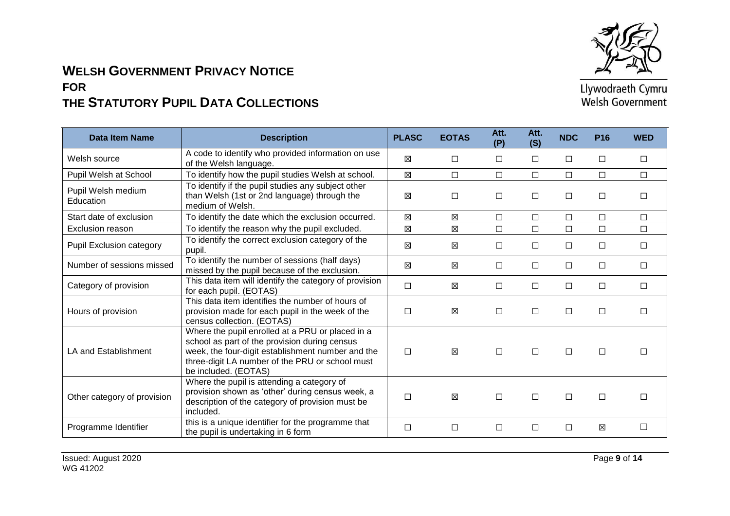

| <b>Data Item Name</b>           | <b>Description</b>                                                                                                                                                                                                                | <b>PLASC</b> | <b>EOTAS</b> | Att.<br>(P) | Att.<br>(S) | <b>NDC</b> | <b>P16</b> | <b>WED</b> |
|---------------------------------|-----------------------------------------------------------------------------------------------------------------------------------------------------------------------------------------------------------------------------------|--------------|--------------|-------------|-------------|------------|------------|------------|
| Welsh source                    | A code to identify who provided information on use<br>of the Welsh language.                                                                                                                                                      | ⊠            | $\Box$       | □           | $\Box$      | □          | □          | $\Box$     |
| Pupil Welsh at School           | To identify how the pupil studies Welsh at school.                                                                                                                                                                                | 区            | □            | $\Box$      | $\Box$      | $\Box$     | $\Box$     | $\Box$     |
| Pupil Welsh medium<br>Education | To identify if the pupil studies any subject other<br>than Welsh (1st or 2nd language) through the<br>medium of Welsh.                                                                                                            | X            | $\Box$       | $\Box$      | $\Box$      | $\Box$     | $\Box$     | $\Box$     |
| Start date of exclusion         | To identify the date which the exclusion occurred.                                                                                                                                                                                | $\boxtimes$  | X            | $\Box$      | $\Box$      | □          | $\Box$     | $\Box$     |
| Exclusion reason                | To identify the reason why the pupil excluded.                                                                                                                                                                                    | 区            | 区            | $\Box$      | $\Box$      | $\Box$     | $\Box$     | $\Box$     |
| Pupil Exclusion category        | To identify the correct exclusion category of the<br>pupil.                                                                                                                                                                       | X            | X            | $\Box$      | $\Box$      | $\Box$     | $\Box$     | $\Box$     |
| Number of sessions missed       | To identify the number of sessions (half days)<br>missed by the pupil because of the exclusion.                                                                                                                                   | ⊠            | ⊠            | $\Box$      | $\Box$      | □          | □          | $\Box$     |
| Category of provision           | This data item will identify the category of provision<br>for each pupil. (EOTAS)                                                                                                                                                 | $\Box$       | $\boxtimes$  | $\Box$      | $\Box$      | $\Box$     | $\Box$     | $\Box$     |
| Hours of provision              | This data item identifies the number of hours of<br>provision made for each pupil in the week of the<br>census collection. (EOTAS)                                                                                                | □            | 区            | $\Box$      | $\Box$      | $\Box$     | $\Box$     | П          |
| LA and Establishment            | Where the pupil enrolled at a PRU or placed in a<br>school as part of the provision during census<br>week, the four-digit establishment number and the<br>three-digit LA number of the PRU or school must<br>be included. (EOTAS) | $\Box$       | ⊠            | $\Box$      | $\Box$      | $\Box$     | $\Box$     | $\Box$     |
| Other category of provision     | Where the pupil is attending a category of<br>provision shown as 'other' during census week, a<br>description of the category of provision must be<br>included.                                                                   | $\Box$       | ⊠            | $\Box$      | $\Box$      | $\Box$     | $\Box$     | П          |
| Programme Identifier            | this is a unique identifier for the programme that<br>the pupil is undertaking in 6 form                                                                                                                                          | □            | $\Box$       | $\Box$      | $\Box$      | $\Box$     | 冈          |            |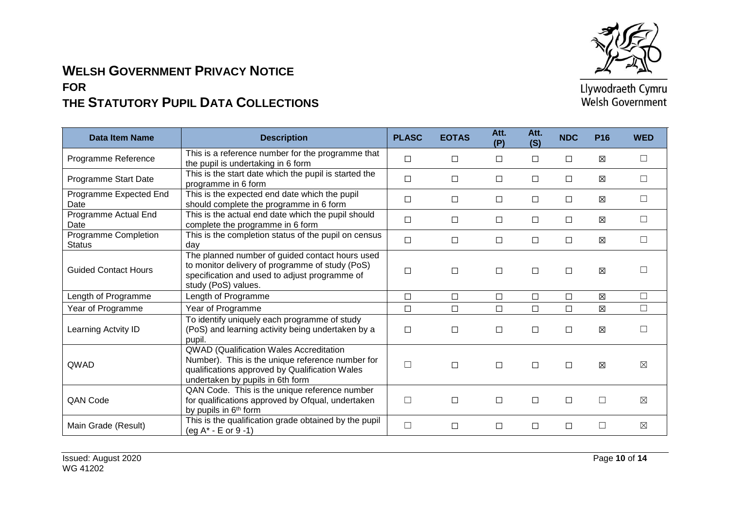

| <b>Data Item Name</b>                 | <b>Description</b>                                                                                                                                                                | <b>PLASC</b> | <b>EOTAS</b> | Att.<br>(P) | Att.<br>(S) | <b>NDC</b> | P <sub>16</sub> | <b>WED</b>   |
|---------------------------------------|-----------------------------------------------------------------------------------------------------------------------------------------------------------------------------------|--------------|--------------|-------------|-------------|------------|-----------------|--------------|
| Programme Reference                   | This is a reference number for the programme that<br>the pupil is undertaking in 6 form                                                                                           | $\Box$       | $\Box$       | □           | $\Box$      | □          | ⊠               |              |
| Programme Start Date                  | This is the start date which the pupil is started the<br>programme in 6 form                                                                                                      | $\Box$       | $\Box$       | □           | $\Box$      | □          | X               | П            |
| Programme Expected End<br>Date        | This is the expected end date which the pupil<br>should complete the programme in 6 form                                                                                          | $\Box$       | $\Box$       | □           | $\Box$      | $\Box$     | ⊠               | $\mathsf{L}$ |
| Programme Actual End<br>Date          | This is the actual end date which the pupil should<br>complete the programme in 6 form                                                                                            | $\Box$       | □            | $\Box$      | $\Box$      | $\Box$     | ⊠               | □            |
| Programme Completion<br><b>Status</b> | This is the completion status of the pupil on census<br>dav                                                                                                                       | $\Box$       | □            | □           | $\Box$      | □          | ⊠               |              |
| <b>Guided Contact Hours</b>           | The planned number of guided contact hours used<br>to monitor delivery of programme of study (PoS)<br>specification and used to adjust programme of<br>study (PoS) values.        | □            | $\Box$       | $\Box$      | $\Box$      | $\Box$     | 区               |              |
| Length of Programme                   | Length of Programme                                                                                                                                                               | $\Box$       | $\Box$       | $\Box$      | $\Box$      | $\Box$     | $\boxtimes$     |              |
| Year of Programme                     | Year of Programme                                                                                                                                                                 | $\Box$       | $\Box$       | $\Box$      | $\Box$      | $\Box$     | $\boxtimes$     | $\Box$       |
| Learning Actvity ID                   | To identify uniquely each programme of study<br>(PoS) and learning activity being undertaken by a<br>pupil.                                                                       | □            | $\Box$       | $\Box$      | $\Box$      | □          | X               |              |
| QWAD                                  | QWAD (Qualification Wales Accreditation<br>Number). This is the unique reference number for<br>qualifications approved by Qualification Wales<br>undertaken by pupils in 6th form | $\Box$       | $\Box$       | $\Box$      | $\Box$      | $\Box$     | $\boxtimes$     | $\boxtimes$  |
| <b>QAN Code</b>                       | QAN Code. This is the unique reference number<br>for qualifications approved by Ofqual, undertaken<br>by pupils in 6 <sup>th</sup> form                                           | $\Box$       | $\Box$       | $\Box$      | $\Box$      | $\Box$     | $\Box$          | $\boxtimes$  |
| Main Grade (Result)                   | This is the qualification grade obtained by the pupil<br>(eg A* - E or 9 -1)                                                                                                      | $\Box$       | $\Box$       | $\Box$      | $\Box$      | $\Box$     | $\Box$          | ⊠            |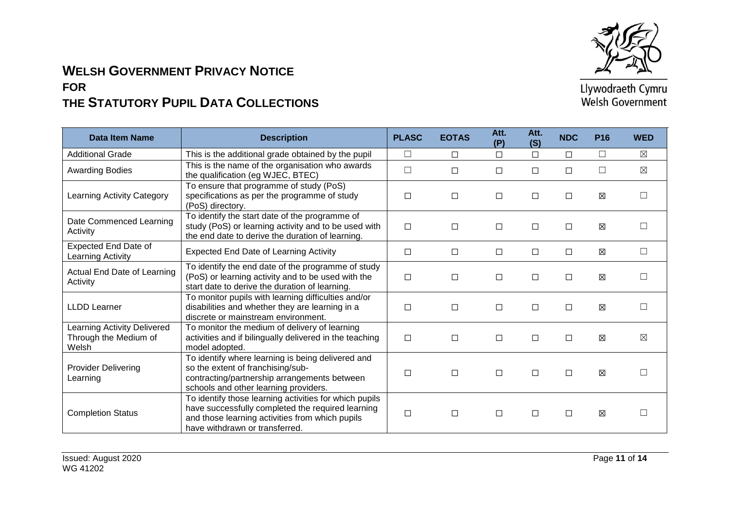

| <b>Data Item Name</b>                                         | <b>Description</b>                                                                                                                                                                               | <b>PLASC</b> | <b>EOTAS</b> | Att.<br>(P) | Att.<br>(S) | <b>NDC</b> | <b>P16</b> | <b>WED</b>  |
|---------------------------------------------------------------|--------------------------------------------------------------------------------------------------------------------------------------------------------------------------------------------------|--------------|--------------|-------------|-------------|------------|------------|-------------|
| <b>Additional Grade</b>                                       | This is the additional grade obtained by the pupil                                                                                                                                               | $\Box$       | $\Box$       | $\Box$      | $\Box$      | $\Box$     | □          | $\boxtimes$ |
| <b>Awarding Bodies</b>                                        | This is the name of the organisation who awards<br>the qualification (eg WJEC, BTEC)                                                                                                             | $\Box$       | □            | □           | $\Box$      | П          | П          | $\boxtimes$ |
| Learning Activity Category                                    | To ensure that programme of study (PoS)<br>specifications as per the programme of study<br>(PoS) directory.                                                                                      | $\Box$       | $\Box$       | □           | □           | $\Box$     | 区          | $\Box$      |
| Date Commenced Learning<br>Activity                           | To identify the start date of the programme of<br>study (PoS) or learning activity and to be used with<br>the end date to derive the duration of learning.                                       | $\Box$       | $\Box$       | □           | $\Box$      | $\Box$     | ⊠          |             |
| <b>Expected End Date of</b><br>Learning Activity              | <b>Expected End Date of Learning Activity</b>                                                                                                                                                    | □            | □            | □           | $\Box$      | $\Box$     | 区          | П           |
| Actual End Date of Learning<br>Activity                       | To identify the end date of the programme of study<br>(PoS) or learning activity and to be used with the<br>start date to derive the duration of learning.                                       | $\Box$       | $\Box$       | □           | $\Box$      | $\Box$     | 区          | П           |
| <b>LLDD Learner</b>                                           | To monitor pupils with learning difficulties and/or<br>disabilities and whether they are learning in a<br>discrete or mainstream environment.                                                    | $\Box$       | $\Box$       | $\Box$      | $\Box$      | □          | 区          | П           |
| Learning Activity Delivered<br>Through the Medium of<br>Welsh | To monitor the medium of delivery of learning<br>activities and if bilingually delivered in the teaching<br>model adopted.                                                                       | $\Box$       | $\Box$       | $\Box$      | $\Box$      | $\Box$     | 区          | $\boxtimes$ |
| <b>Provider Delivering</b><br>Learning                        | To identify where learning is being delivered and<br>so the extent of franchising/sub-<br>contracting/partnership arrangements between<br>schools and other learning providers.                  | $\Box$       | $\Box$       | $\Box$      | $\Box$      | $\Box$     | X          | $\Box$      |
| <b>Completion Status</b>                                      | To identify those learning activities for which pupils<br>have successfully completed the required learning<br>and those learning activities from which pupils<br>have withdrawn or transferred. | $\Box$       | $\Box$       | $\Box$      | $\Box$      | $\Box$     | 区          |             |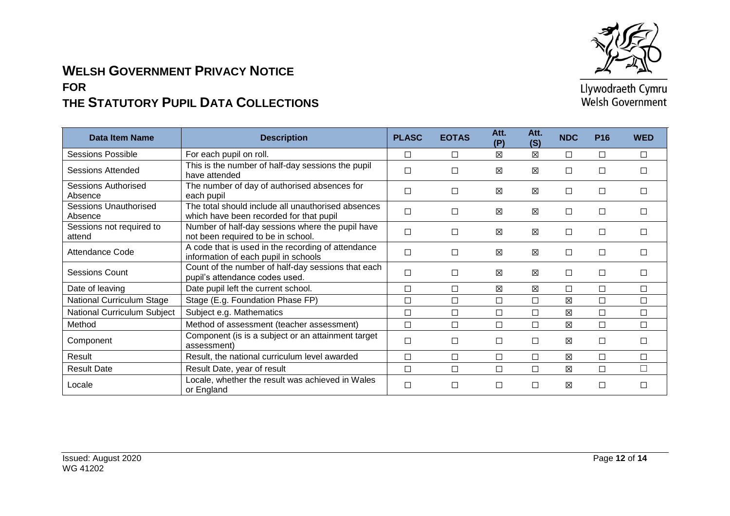

| Data Item Name                          | <b>Description</b>                                                                            | <b>PLASC</b> | <b>EOTAS</b> | Att.<br>(P) | Att.<br>(S) | <b>NDC</b>  | <b>P16</b> | <b>WED</b> |
|-----------------------------------------|-----------------------------------------------------------------------------------------------|--------------|--------------|-------------|-------------|-------------|------------|------------|
| Sessions Possible                       | For each pupil on roll.                                                                       | $\Box$       | □            | ⊠           | 図           | $\Box$      | □          | П          |
| Sessions Attended                       | This is the number of half-day sessions the pupil<br>have attended                            | $\Box$       | □            | X           | 区           | $\Box$      | г          | □          |
| <b>Sessions Authorised</b><br>Absence   | The number of day of authorised absences for<br>each pupil                                    | $\Box$       | □            | X           | 区           | $\Box$      |            |            |
| <b>Sessions Unauthorised</b><br>Absence | The total should include all unauthorised absences<br>which have been recorded for that pupil | $\Box$       | □            | X           | 区           | □           | П          | П          |
| Sessions not required to<br>attend      | Number of half-day sessions where the pupil have<br>not been required to be in school.        | $\Box$       | □            | X           | ⊠           | П           | г          |            |
| <b>Attendance Code</b>                  | A code that is used in the recording of attendance<br>information of each pupil in schools    | $\Box$       | □            | ⊠           | 区           | $\Box$      | П          | П          |
| <b>Sessions Count</b>                   | Count of the number of half-day sessions that each<br>pupil's attendance codes used.          | $\Box$       | $\Box$       | ⊠           | 図           | $\Box$      | $\Box$     | □          |
| Date of leaving                         | Date pupil left the current school.                                                           | $\Box$       | □            | X           | ⊠           | $\Box$      | П          | □          |
| <b>National Curriculum Stage</b>        | Stage (E.g. Foundation Phase FP)                                                              | $\Box$       | □            | □           | $\Box$      | ⊠           | $\Box$     | $\Box$     |
| National Curriculum Subject             | Subject e.g. Mathematics                                                                      | $\Box$       | $\Box$       | $\Box$      | П           | 冈           | П          | $\Box$     |
| Method                                  | Method of assessment (teacher assessment)                                                     | $\Box$       | □            | □           | $\Box$      | 区           | П          | $\Box$     |
| Component                               | Component (is is a subject or an attainment target<br>assessment)                             | $\Box$       | □            | □           | □           | X           | г          | □          |
| Result                                  | Result, the national curriculum level awarded                                                 | $\Box$       | □            | □           | □           | 区           | Г          | $\Box$     |
| <b>Result Date</b>                      | Result Date, year of result                                                                   | $\Box$       | $\Box$       | □           | $\Box$      | $\boxtimes$ | $\Box$     | $\Box$     |
| Locale                                  | Locale, whether the result was achieved in Wales<br>or England                                | $\Box$       | □            | □           | П           | X           | г          | П          |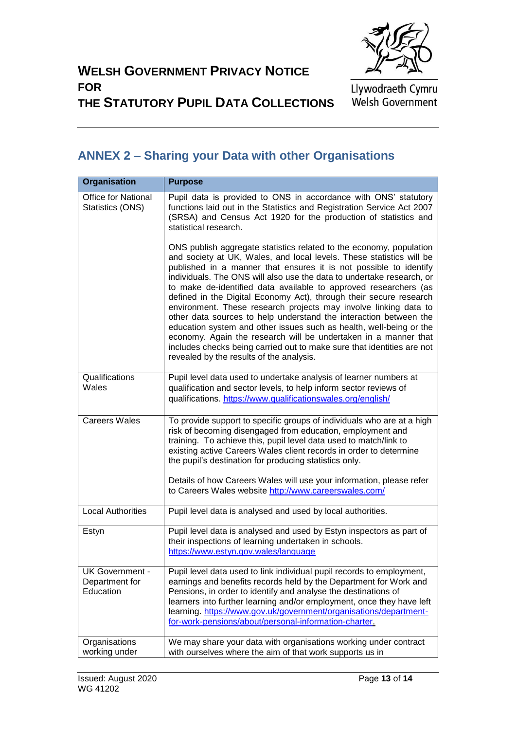

#### **WELSH GOVERNMENT PRIVACY NOTICE FOR**

Llywodraeth Cymru<br>Welsh Government

# **THE STATUTORY PUPIL DATA COLLECTIONS**

## <span id="page-12-0"></span>**ANNEX 2 – Sharing your Data with other Organisations**

| <b>Organisation</b>                            | <b>Purpose</b>                                                                                                                                                                                                                                                                                                                                                                                                                                                                                                                                                                                                                                                                                                                                                                                                                               |
|------------------------------------------------|----------------------------------------------------------------------------------------------------------------------------------------------------------------------------------------------------------------------------------------------------------------------------------------------------------------------------------------------------------------------------------------------------------------------------------------------------------------------------------------------------------------------------------------------------------------------------------------------------------------------------------------------------------------------------------------------------------------------------------------------------------------------------------------------------------------------------------------------|
| <b>Office for National</b><br>Statistics (ONS) | Pupil data is provided to ONS in accordance with ONS' statutory<br>functions laid out in the Statistics and Registration Service Act 2007<br>(SRSA) and Census Act 1920 for the production of statistics and<br>statistical research.                                                                                                                                                                                                                                                                                                                                                                                                                                                                                                                                                                                                        |
|                                                | ONS publish aggregate statistics related to the economy, population<br>and society at UK, Wales, and local levels. These statistics will be<br>published in a manner that ensures it is not possible to identify<br>individuals. The ONS will also use the data to undertake research, or<br>to make de-identified data available to approved researchers (as<br>defined in the Digital Economy Act), through their secure research<br>environment. These research projects may involve linking data to<br>other data sources to help understand the interaction between the<br>education system and other issues such as health, well-being or the<br>economy. Again the research will be undertaken in a manner that<br>includes checks being carried out to make sure that identities are not<br>revealed by the results of the analysis. |
| Qualifications<br>Wales                        | Pupil level data used to undertake analysis of learner numbers at<br>qualification and sector levels, to help inform sector reviews of<br>qualifications. https://www.qualificationswales.org/english/                                                                                                                                                                                                                                                                                                                                                                                                                                                                                                                                                                                                                                       |
| <b>Careers Wales</b>                           | To provide support to specific groups of individuals who are at a high<br>risk of becoming disengaged from education, employment and<br>training. To achieve this, pupil level data used to match/link to<br>existing active Careers Wales client records in order to determine<br>the pupil's destination for producing statistics only.                                                                                                                                                                                                                                                                                                                                                                                                                                                                                                    |
|                                                | Details of how Careers Wales will use your information, please refer<br>to Careers Wales website http://www.careerswales.com/                                                                                                                                                                                                                                                                                                                                                                                                                                                                                                                                                                                                                                                                                                                |
| <b>Local Authorities</b>                       | Pupil level data is analysed and used by local authorities.                                                                                                                                                                                                                                                                                                                                                                                                                                                                                                                                                                                                                                                                                                                                                                                  |
| Estyn                                          | Pupil level data is analysed and used by Estyn inspectors as part of<br>their inspections of learning undertaken in schools.<br>https://www.estyn.gov.wales/language                                                                                                                                                                                                                                                                                                                                                                                                                                                                                                                                                                                                                                                                         |
| UK Government -<br>Department for<br>Education | Pupil level data used to link individual pupil records to employment,<br>earnings and benefits records held by the Department for Work and<br>Pensions, in order to identify and analyse the destinations of<br>learners into further learning and/or employment, once they have left<br>learning. https://www.gov.uk/government/organisations/department-<br>for-work-pensions/about/personal-information-charter.                                                                                                                                                                                                                                                                                                                                                                                                                          |
| Organisations<br>working under                 | We may share your data with organisations working under contract<br>with ourselves where the aim of that work supports us in                                                                                                                                                                                                                                                                                                                                                                                                                                                                                                                                                                                                                                                                                                                 |